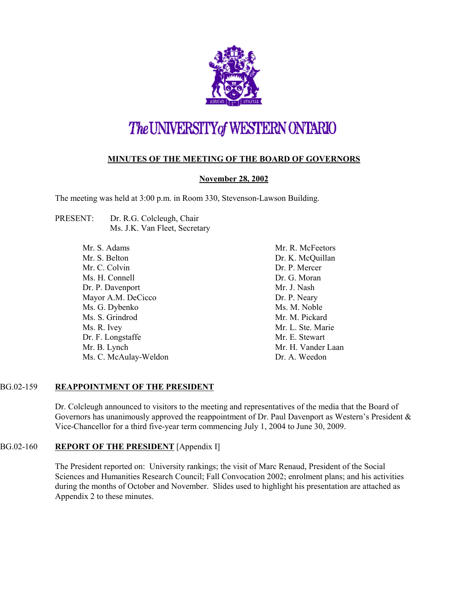

# The UNIVERSITY of WESTERN ONTARIO

## **MINUTES OF THE MEETING OF THE BOARD OF GOVERNORS**

## **November 28, 2002**

The meeting was held at 3:00 p.m. in Room 330, Stevenson-Lawson Building.

PRESENT: Dr. R.G. Colcleugh, Chair Ms. J.K. Van Fleet, Secretary

> Mr. S. Adams Mr. S. Belton Mr. C. Colvin Ms. H. Connell Dr. P. Davenport Mayor A.M. DeCicco Ms. G. Dybenko Ms. S. Grindrod Ms. R. Ivey Dr. F. Longstaffe Mr. B. Lynch Ms. C. McAulay-Weldon

Mr. R. McFeetors Dr. K. McQuillan Dr. P. Mercer Dr. G. Moran Mr. J. Nash Dr. P. Neary Ms. M. Noble Mr. M. Pickard Mr. L. Ste. Marie Mr. E. Stewart Mr. H. Vander Laan Dr. A. Weedon

## BG.02-159 **REAPPOINTMENT OF THE PRESIDENT**

Dr. Colcleugh announced to visitors to the meeting and representatives of the media that the Board of Governors has unanimously approved the reappointment of Dr. Paul Davenport as Western's President & Vice-Chancellor for a third five-year term commencing July 1, 2004 to June 30, 2009.

## BG.02-160 **REPORT OF THE PRESIDENT** [Appendix I]

The President reported on: University rankings; the visit of Marc Renaud, President of the Social Sciences and Humanities Research Council; Fall Convocation 2002; enrolment plans; and his activities during the months of October and November. Slides used to highlight his presentation are attached as Appendix 2 to these minutes.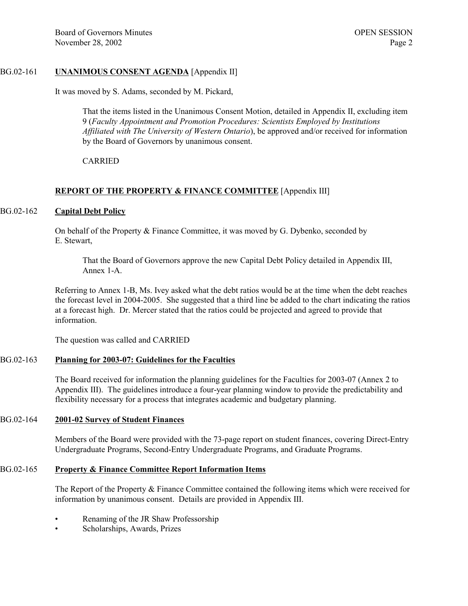## BG.02-161 **UNANIMOUS CONSENT AGENDA** [Appendix II]

It was moved by S. Adams, seconded by M. Pickard,

That the items listed in the Unanimous Consent Motion, detailed in Appendix II, excluding item 9 (*Faculty Appointment and Promotion Procedures: Scientists Employed by Institutions Affiliated with The University of Western Ontario*), be approved and/or received for information by the Board of Governors by unanimous consent.

CARRIED

## **REPORT OF THE PROPERTY & FINANCE COMMITTEE** [Appendix III]

#### BG.02-162 **Capital Debt Policy**

On behalf of the Property & Finance Committee, it was moved by G. Dybenko, seconded by E. Stewart,

That the Board of Governors approve the new Capital Debt Policy detailed in Appendix III, Annex 1-A.

Referring to Annex 1-B, Ms. Ivey asked what the debt ratios would be at the time when the debt reaches the forecast level in 2004-2005. She suggested that a third line be added to the chart indicating the ratios at a forecast high. Dr. Mercer stated that the ratios could be projected and agreed to provide that information.

The question was called and CARRIED

#### BG.02-163 **Planning for 2003-07: Guidelines for the Faculties**

The Board received for information the planning guidelines for the Faculties for 2003-07 (Annex 2 to Appendix III). The guidelines introduce a four-year planning window to provide the predictability and flexibility necessary for a process that integrates academic and budgetary planning.

#### BG.02-164 **2001-02 Survey of Student Finances**

Members of the Board were provided with the 73-page report on student finances, covering Direct-Entry Undergraduate Programs, Second-Entry Undergraduate Programs, and Graduate Programs.

## BG.02-165 **Property & Finance Committee Report Information Items**

The Report of the Property & Finance Committee contained the following items which were received for information by unanimous consent. Details are provided in Appendix III.

- Renaming of the JR Shaw Professorship
- Scholarships, Awards, Prizes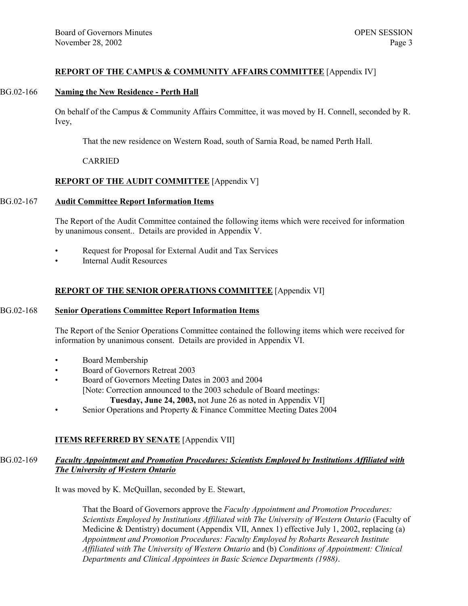## **REPORT OF THE CAMPUS & COMMUNITY AFFAIRS COMMITTEE** [Appendix IV]

#### BG.02-166 **Naming the New Residence - Perth Hall**

On behalf of the Campus & Community Affairs Committee, it was moved by H. Connell, seconded by R. Ivey,

That the new residence on Western Road, south of Sarnia Road, be named Perth Hall.

## CARRIED

## **REPORT OF THE AUDIT COMMITTEE** [Appendix V]

## BG.02-167 **Audit Committee Report Information Items**

The Report of the Audit Committee contained the following items which were received for information by unanimous consent.. Details are provided in Appendix V.

- Request for Proposal for External Audit and Tax Services
- Internal Audit Resources

## **REPORT OF THE SENIOR OPERATIONS COMMITTEE** [Appendix VI]

#### BG.02-168 **Senior Operations Committee Report Information Items**

The Report of the Senior Operations Committee contained the following items which were received for information by unanimous consent. Details are provided in Appendix VI.

- Board Membership
- Board of Governors Retreat 2003
- Board of Governors Meeting Dates in 2003 and 2004
	- [Note: Correction announced to the 2003 schedule of Board meetings:
		- **Tuesday, June 24, 2003,** not June 26 as noted in Appendix VI]
- Senior Operations and Property & Finance Committee Meeting Dates 2004

## **ITEMS REFERRED BY SENATE** [Appendix VII]

## BG.02-169 *Faculty Appointment and Promotion Procedures: Scientists Employed by Institutions Affiliated with The University of Western Ontario*

It was moved by K. McQuillan, seconded by E. Stewart,

That the Board of Governors approve the *Faculty Appointment and Promotion Procedures: Scientists Employed by Institutions Affiliated with The University of Western Ontario* (Faculty of Medicine & Dentistry) document (Appendix VII, Annex 1) effective July 1, 2002, replacing (a) *Appointment and Promotion Procedures: Faculty Employed by Robarts Research Institute Affiliated with The University of Western Ontario* and (b) *Conditions of Appointment: Clinical Departments and Clinical Appointees in Basic Science Departments (1988)*.